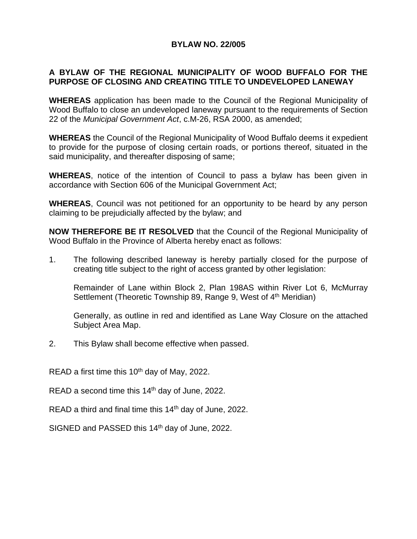## **BYLAW NO. 22/005**

## **A BYLAW OF THE REGIONAL MUNICIPALITY OF WOOD BUFFALO FOR THE PURPOSE OF CLOSING AND CREATING TITLE TO UNDEVELOPED LANEWAY**

**WHEREAS** application has been made to the Council of the Regional Municipality of Wood Buffalo to close an undeveloped laneway pursuant to the requirements of Section 22 of the *Municipal Government Act*, c.M-26, RSA 2000, as amended;

**WHEREAS** the Council of the Regional Municipality of Wood Buffalo deems it expedient to provide for the purpose of closing certain roads, or portions thereof, situated in the said municipality, and thereafter disposing of same;

**WHEREAS**, notice of the intention of Council to pass a bylaw has been given in accordance with Section 606 of the Municipal Government Act;

**WHEREAS**, Council was not petitioned for an opportunity to be heard by any person claiming to be prejudicially affected by the bylaw; and

**NOW THEREFORE BE IT RESOLVED** that the Council of the Regional Municipality of Wood Buffalo in the Province of Alberta hereby enact as follows:

1. The following described laneway is hereby partially closed for the purpose of creating title subject to the right of access granted by other legislation:

Remainder of Lane within Block 2, Plan 198AS within River Lot 6, McMurray Settlement (Theoretic Township 89, Range 9, West of 4<sup>th</sup> Meridian)

Generally, as outline in red and identified as Lane Way Closure on the attached Subject Area Map.

2. This Bylaw shall become effective when passed.

READ a first time this 10<sup>th</sup> day of May, 2022.

READ a second time this  $14<sup>th</sup>$  day of June, 2022.

READ a third and final time this 14<sup>th</sup> day of June, 2022.

SIGNED and PASSED this 14<sup>th</sup> day of June, 2022.